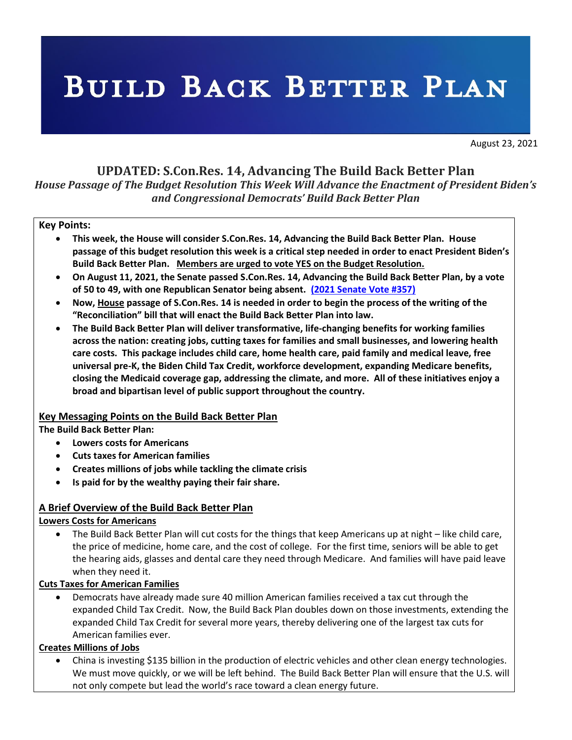# **BUILD BACK BETTER PLAN**

August 23, 2021

# **UPDATED: S.Con.Res. 14, Advancing The Build Back Better Plan**

*House Passage of The Budget Resolution This Week Will Advance the Enactment of President Biden's and Congressional Democrats' Build Back Better Plan* 

#### **Key Points:**

- **This week, the House will consider S.Con.Res. 14, Advancing the Build Back Better Plan. House passage of this budget resolution this week is a critical step needed in order to enact President Biden's Build Back Better Plan. Members are urged to vote YES on the Budget Resolution.**
- **On August 11, 2021, the Senate passed S.Con.Res. 14, Advancing the Build Back Better Plan, by a vote of 50 to 49, with one Republican Senator being absent. (2021 Senate Vote #357)**
- **Now, House passage of S.Con.Res. 14 is needed in order to begin the process of the writing of the "Reconciliation" bill that will enact the Build Back Better Plan into law.**
- **The Build Back Better Plan will deliver transformative, life-changing benefits for working families across the nation: creating jobs, cutting taxes for families and small businesses, and lowering health care costs. This package includes child care, home health care, paid family and medical leave, free universal pre-K, the Biden Child Tax Credit, workforce development, expanding Medicare benefits, closing the Medicaid coverage gap, addressing the climate, and more. All of these initiatives enjoy a broad and bipartisan level of public support throughout the country.**

## **Key Messaging Points on the Build Back Better Plan**

**The Build Back Better Plan:**

- **Lowers costs for Americans**
- **Cuts taxes for American families**
- **Creates millions of jobs while tackling the climate crisis**
- **Is paid for by the wealthy paying their fair share.**

## **A Brief Overview of the Build Back Better Plan**

## **Lowers Costs for Americans**

• The Build Back Better Plan will cut costs for the things that keep Americans up at night – like child care, the price of medicine, home care, and the cost of college. For the first time, seniors will be able to get the hearing aids, glasses and dental care they need through Medicare. And families will have paid leave when they need it.

## **Cuts Taxes for American Families**

• Democrats have already made sure 40 million American families received a tax cut through the expanded Child Tax Credit. Now, the Build Back Plan doubles down on those investments, extending the expanded Child Tax Credit for several more years, thereby delivering one of the largest tax cuts for American families ever.

## **Creates Millions of Jobs**

• China is investing \$135 billion in the production of electric vehicles and other clean energy technologies. We must move quickly, or we will be left behind. The Build Back Better Plan will ensure that the U.S. will not only compete but lead the world's race toward a clean energy future.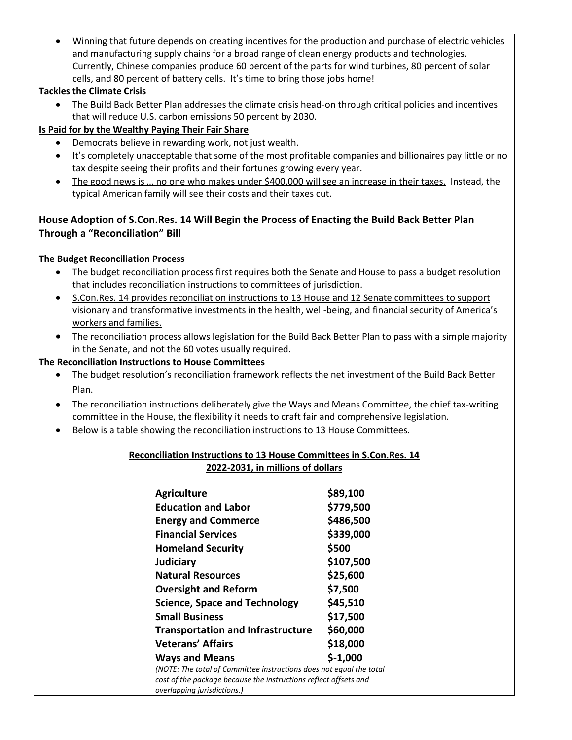• Winning that future depends on creating incentives for the production and purchase of electric vehicles and manufacturing supply chains for a broad range of clean energy products and technologies. Currently, Chinese companies produce 60 percent of the parts for wind turbines, 80 percent of solar cells, and 80 percent of battery cells. It's time to bring those jobs home!

## **Tackles the Climate Crisis**

• The Build Back Better Plan addresses the climate crisis head-on through critical policies and incentives that will reduce U.S. carbon emissions 50 percent by 2030.

## **Is Paid for by the Wealthy Paying Their Fair Share**

- Democrats believe in rewarding work, not just wealth.
- It's completely unacceptable that some of the most profitable companies and billionaires pay little or no tax despite seeing their profits and their fortunes growing every year.
- The good news is … no one who makes under \$400,000 will see an increase in their taxes. Instead, the typical American family will see their costs and their taxes cut.

# **House Adoption of S.Con.Res. 14 Will Begin the Process of Enacting the Build Back Better Plan Through a "Reconciliation" Bill**

## **The Budget Reconciliation Process**

- The budget reconciliation process first requires both the Senate and House to pass a budget resolution that includes reconciliation instructions to committees of jurisdiction.
- S.Con.Res. 14 provides reconciliation instructions to 13 House and 12 Senate committees to support visionary and transformative investments in the health, well-being, and financial security of America's workers and families.
- The reconciliation process allows legislation for the Build Back Better Plan to pass with a simple majority in the Senate, and not the 60 votes usually required.

## **The Reconciliation Instructions to House Committees**

- The budget resolution's reconciliation framework reflects the net investment of the Build Back Better Plan.
- The reconciliation instructions deliberately give the Ways and Means Committee, the chief tax-writing committee in the House, the flexibility it needs to craft fair and comprehensive legislation.
- Below is a table showing the reconciliation instructions to 13 House Committees.

## **Reconciliation Instructions to 13 House Committees in S.Con.Res. 14 2022-2031, in millions of dollars**

| <b>Agriculture</b>                                                                                                                                                     | \$89,100  |
|------------------------------------------------------------------------------------------------------------------------------------------------------------------------|-----------|
| <b>Education and Labor</b>                                                                                                                                             | \$779,500 |
| <b>Energy and Commerce</b>                                                                                                                                             | \$486,500 |
| <b>Financial Services</b>                                                                                                                                              | \$339,000 |
| <b>Homeland Security</b>                                                                                                                                               | \$500     |
| <b>Judiciary</b>                                                                                                                                                       | \$107,500 |
| <b>Natural Resources</b>                                                                                                                                               | \$25,600  |
| <b>Oversight and Reform</b>                                                                                                                                            | \$7,500   |
| <b>Science, Space and Technology</b>                                                                                                                                   | \$45,510  |
| <b>Small Business</b>                                                                                                                                                  | \$17,500  |
| <b>Transportation and Infrastructure</b>                                                                                                                               | \$60,000  |
| <b>Veterans' Affairs</b>                                                                                                                                               | \$18,000  |
| <b>Ways and Means</b>                                                                                                                                                  | $$-1,000$ |
| (NOTE: The total of Committee instructions does not equal the total<br>cost of the package because the instructions reflect offsets and<br>overlapping jurisdictions.) |           |